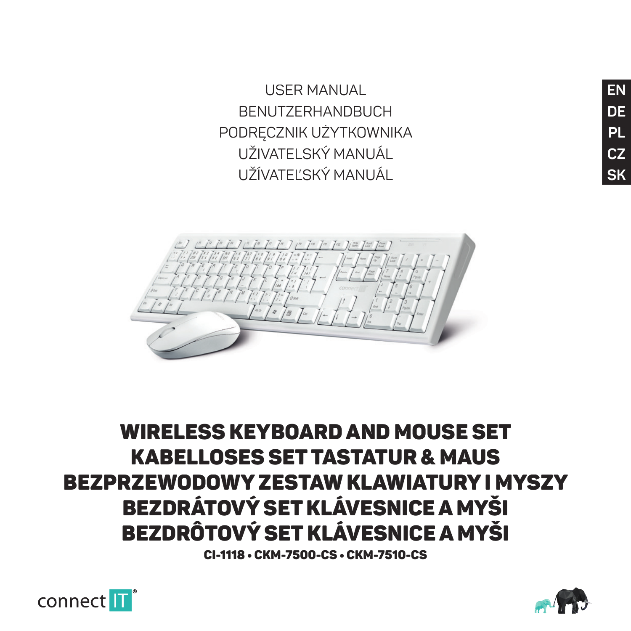USER MANUAL BENUTZERHANDBUCH PODRĘCZNIK UŻYTKOWNIKA UŽIVATELSKÝ MANUÁL UŽÍVATEĽSKÝ MANUÁL



## WIDEL FSS KEYROARD AND MOUSE SET KABELLOSES SET TASTATUR & MAUS BEZPRZEWODOWY ZESTAW KLAWIATURY I MYSZY BEZDRÁTOVÝ SET KLÁVESNICE A MYŠI BEZDRÔTOVÝ SET KLÁVESNICE A MYŠI

CI-1118 • CKM-7500-CS • CKM-7510-CS



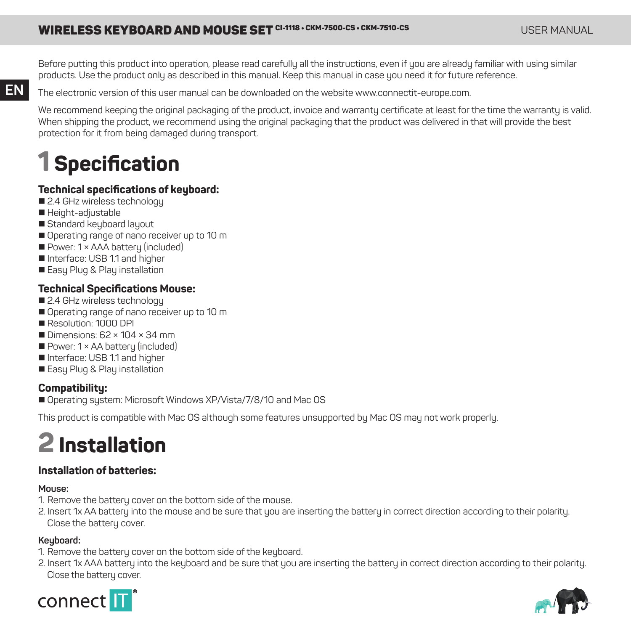## WIRELESS KEYBOARD AND MOUSE SET CI-1118 • CKM-7500-CS • CKM-7510-CS • CAMPLER MANUAL CI-1118 • CKM-7500-CS • CKM-7510-CS

Before putting this product into operation, please read carefully all the instructions, even if you are already familiar with using similar products. Use the product only as described in this manual. Keep this manual in case you need it for future reference.

The electronic version of this user manual can be downloaded on the website www.connectit-europe.com.

We recommend keeping the original packaging of the product, invoice and warranty certificate at least for the time the warranty is valid. When shipping the product, we recommend using the original packaging that the product was delivered in that will provide the best protection for it from being damaged during transport.

## **1 Specifi cation**

### **Technical specifications of keyboard:**

- 2.4 GHz wireless technology
- Height-adjustable

**EN**

- Standard keyboard layout
- Operating range of nano receiver up to 10 m
- Power: 1 × AAA battery (included)
- Interface: USB 1.1 and higher
- Easy Plug & Play installation

### **Technical Specifications Mouse:**

- 24 GHz wireless technology
- Operating range of nano receiver up to 10 m
- Resolution: 1000 DPI
- Dimensions: 62 × 104 × 34 mm
- Power: 1 × AA battery (included)
- Interface: USB 11 and higher
- **E** Fasu Plug & Play installation

## **Compatibility:**

■ Operating sustem: Microsoft Windows XP/Vista/7/8/10 and Mac OS

This product is compatible with Mac OS although some features unsupported by Mac OS may not work properly.

## **2 Installation**

### **Installation of batteries:**

#### **Mouse:**

- 1. Remove the battery cover on the bottom side of the mouse.
- 2. Insert 1x AA battery into the mouse and be sure that you are inserting the battery in correct direction according to their polarity. Close the battery cover.

### **Keyboard:**

- 1. Remove the battery cover on the bottom side of the keyboard
- 2. Insert 1x AAA battery into the keyboard and be sure that you are inserting the battery in correct direction according to their polarity. Close the battery cover



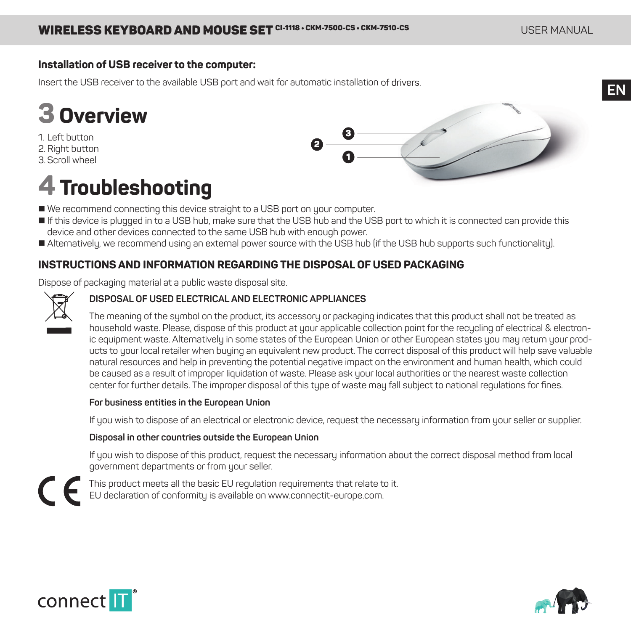### **Installation of USB receiver to the computer:**

Insert the USB receiver to the available USB port and wait for automatic installation of drivers.

# **3 Overview**

1. Left button

- 2. Right button
- 3. Scroll wheel

## **4 Troubleshooting**

- We recommend connecting this device straight to a USB port on your computer.
- If this device is plugged in to a USB hub, make sure that the USB hub and the USB port to which it is connected can provide this device and other devices connected to the same USB hub with enough power.
- Alternatively, we recommend using an external power source with the USB hub (if the USB hub supports such functionality).

### **INSTRUCTIONS AND INFORMATION REGARDING THE DISPOSAL OF USED PACKAGING**

Dispose of packaging material at a public waste disposal site.



### **DISPOSAL OF USED ELECTRICAL AND ELECTRONIC APPLIANCES**

The meaning of the symbol on the product, its accessory or packaging indicates that this product shall not be treated as household waste. Please, dispose of this product at your applicable collection point for the recycling of electrical & electronic equipment waste. Alternatively in some states of the European Union or other European states you may return your products to your local retailer when buying an equivalent new product. The correct disposal of this product will help save valuable natural resources and help in preventing the potential negative impact on the environment and human health, which could be caused as a result of improper liquidation of waste. Please ask your local authorities or the nearest waste collection center for further details. The improper disposal of this type of waste may fall subject to national regulations for fines.

1 2 3

#### **For business entities in the European Union**

If you wish to dispose of an electrical or electronic device, request the necessary information from your seller or supplier.

#### **Disposal in other countries outside the European Union**

If you wish to dispose of this product, request the necessary information about the correct disposal method from local government departments or from your seller.







**EN**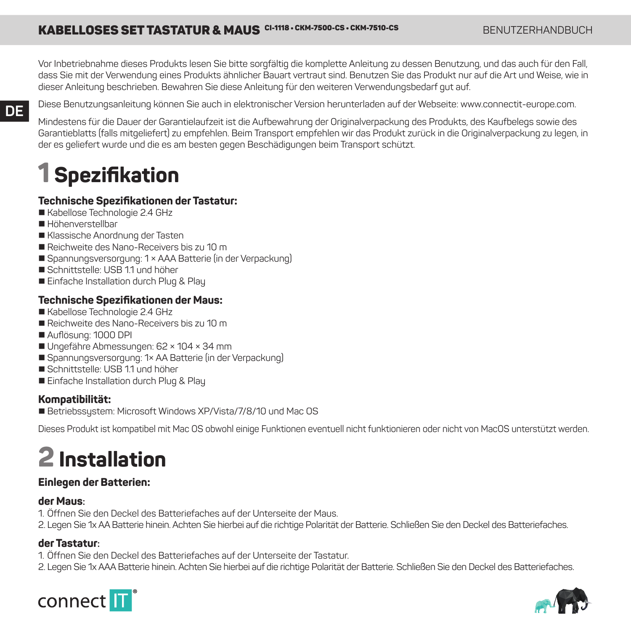## KABELLOSES SET TASTATUR & MAUS CI-1118 · CKM-7500-CS · CKM-7510-CS BENUTZERHANDBUCH

Vor Inbetriebnahme dieses Produkts lesen Sie bitte sorgfältig die komplette Anleitung zu dessen Benutzung, und das auch für den Fall, dass Sie mit der Verwendung eines Produkts ähnlicher Bauart vertraut sind. Benutzen Sie das Produkt nur auf die Art und Weise, wie in dieser Anleitung beschrieben. Bewahren Sie diese Anleitung für den weiteren Verwendungsbedarf gut auf.

#### Diese Benutzungsanleitung können Sie auch in elektronischer Version herunterladen auf der Webseite: www.connectit-europe.com.

Mindestens für die Dauer der Garantielaufzeit ist die Aufbewahrung der Originalverpackung des Produkts, des Kaufbelegs sowie des Garantieblatts (falls mitgeliefert) zu empfehlen. Beim Transport empfehlen wir das Produkt zurück in die Originalverpackung zu legen, in der es geliefert wurde und die es am besten gegen Beschädigungen beim Transport schützt.

## **1 Spezifi kation**

#### **Technische Spezifi kationen der Tastatur:**

- Kabellose Technologie 2.4 GHz
- Höhenverstellbar

**DE**

- Klassische Anordnung der Tasten
- Reichweite des Nano-Receivers bis zu 10 m
- Spannungsversorgung: 1 × AAA Batterie (in der Verpackung)
- Schnittstelle: USB 11 und höher
- **E** Finfache Installation durch Plug & Play

#### **Technische Spezifi kationen der Maus:**

- Kabellose Technologie 2.4 GHz
- Reichweite des Nano-Receivers bis zu 10 m
- Auflösung: 1000 DPI
- Ungefähre Abmessungen: 62 × 104 × 34 mm
- Spannungsversorgung: 1× AA Batterie (in der Verpackung)
- Schnittstelle: USB 11 und höher
- Einfache Installation durch Plug & Play

#### **Kompatibilität:**

Betriebssystem: Microsoft Windows XP/Vista/7/8/10 und Mac OS

Dieses Produkt ist kompatibel mit Mac OS obwohl einige Funktionen eventuell nicht funktionieren oder nicht von MacOS unterstützt werden.

## **2 Installation**

### **Einlegen der Batterien:**

#### **der Maus:**

- 1. Öffnen Sie den Deckel des Batteriefaches auf der Unterseite der Maus.
- 2. Legen Sie 1x AA Batterie hinein. Achten Sie hierbei auf die richtige Polarität der Batterie. Schließen Sie den Deckel des Batteriefaches.

### **der Tastatur:**

- 1. Öffnen Sie den Deckel des Batteriefaches auf der Unterseite der Tastatur.
- 2. Legen Sie 1x AAA Batterie hinein. Achten Sie hierbei auf die richtige Polarität der Batterie. Schließen Sie den Deckel des Batteriefaches.



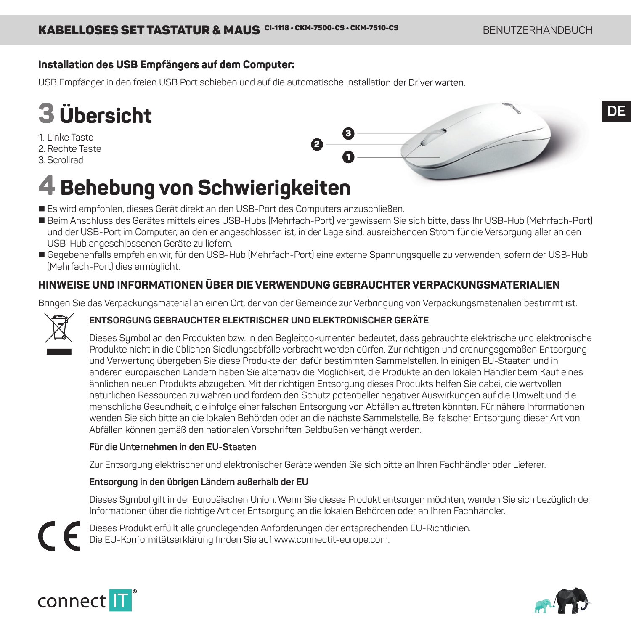### **Installation des USB Empfängers auf dem Computer:**

USB Empfänger in den freien USB Port schieben und auf die automatische Installation der Driver warten.

# **3 Übersicht**

1. Linke Taste

2. Rechte Taste

3. Scrollrad



## **4 Behebung von Schwierigkeiten**

- Es wird empfohlen, dieses Gerät direkt an den USB-Port des Computers anzuschließen.
- Beim Anschluss des Gerätes mittels eines USB-Hubs (Mehrfach-Port) vergewissern Sie sich bitte, dass Ihr USB-Hub (Mehrfach-Port) und der USB-Port im Computer, an den er angeschlossen ist, in der Lage sind, ausreichenden Strom für die Versorgung aller an den USB-Hub angeschlossenen Geräte zu liefern.
- Gegebenenfalls empfehlen wir, für den USB-Hub (Mehrfach-Port) eine externe Spannungsquelle zu verwenden, sofern der USB-Hub (Mehrfach-Port) dies ermöglicht.

## **HINWEISE UND INFORMATIONEN ÜBER DIE VERWENDUNG GEBRAUCHTER VERPACKUNGSMATERIALIEN**

Bringen Sie das Verpackungsmaterial an einen Ort, der von der Gemeinde zur Verbringung von Verpackungsmaterialien bestimmt ist.



### **ENTSORGUNG GEBRAUCHTER ELEKTRISCHER UND ELEKTRONISCHER GERÄTE**

Dieses Symbol an den Produkten bzw. in den Begleitdokumenten bedeutet, dass gebrauchte elektrische und elektronische Produkte nicht in die üblichen Siedlungsabfälle verbracht werden dürfen. Zur richtigen und ordnungsgemäßen Entsorgung und Verwertung übergeben Sie diese Produkte den dafür bestimmten Sammelstellen. In einigen EU-Staaten und in anderen europäischen Ländern haben Sie alternativ die Möglichkeit, die Produkte an den lokalen Händler beim Kauf eines ähnlichen neuen Produkts abzugeben. Mit der richtigen Entsorgung dieses Produkts helfen Sie dabei, die wertvollen natürlichen Ressourcen zu wahren und fördern den Schutz potentieller negativer Auswirkungen auf die Umwelt und die menschliche Gesundheit, die infolge einer falschen Entsorgung von Abfällen auftreten könnten. Für nähere Informationen wenden Sie sich bitte an die lokalen Behörden oder an die nächste Sammelstelle. Bei falscher Entsorgung dieser Art von Abfällen können gemäß den nationalen Vorschriften Geldbußen verhängt werden.

#### **Für die Unternehmen in den EU-Staaten**

Zur Entsorgung elektrischer und elektronischer Geräte wenden Sie sich bitte an Ihren Fachhändler oder Lieferer.

### **Entsorgung in den übrigen Ländern außerhalb der EU**

Dieses Symbol gilt in der Europäischen Union. Wenn Sie dieses Produkt entsorgen möchten, wenden Sie sich bezüglich der Informationen über die richtige Art der Entsorgung an die lokalen Behörden oder an Ihren Fachhändler.

Dieses Produkt erfüllt alle grundlegenden Anforderungen der entsprechenden EU-Richtlinien. Die EU-Konformitätserklärung finden Sie auf www.connectit-europe.com.



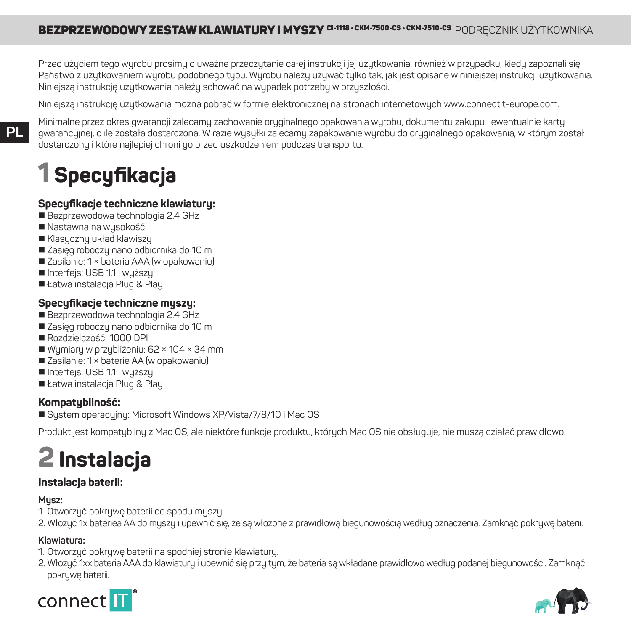Przed użyciem tego wyrobu prosimy o uważne przeczytanie całej instrukcji jej użytkowania, również w przypadku, kiedy zapoznali się Państwo z użytkowaniem wyrobu podobnego typu. Wyrobu należy używać tylko tak, jak jest opisane w niniejszej instrukcji użytkowania. Niniejszą instrukcję użytkowania należy schować na wypadek potrzeby w przyszłości.

Niniejszą instrukcję użytkowania można pobrać w formie elektronicznej na stronach internetowych www.connectit-europe.com.

**PL**

Minimalne przez okres gwarancji zalecamy zachowanie oryginalnego opakowania wyrobu, dokumentu zakupu i ewentualnie karty gwarancyjnej, o ile została dostarczona. W razie wysyłki zalecamy zapakowanie wyrobu do oryginalnego opakowania, w którym został dostarczony i które najlepiej chroni go przed uszkodzeniem podczas transportu.

# **1 Specyfi kacja**

## **Specyfi kacje techniczne klawiatury:**

- Bezprzewodowa technologia 2.4 GHz
- Nastawna na wusokość
- Klasyczny układ klawiszy
- Zasieg roboczy nano odbiornika do 10 m
- Zasilanie: 1 × bateria AAA (w opakowaniu)
- Interfejs: USB 1.1 i wyższy
- Łatwa instalacia Plug & Plau

### **Specyfi kacje techniczne myszy:**

- Bezprzewodowa technologia 2.4 GHz
- Zasięg roboczy nano odbiornika do 10 m
- Rozdzielczość: 1000 DPI
- Wymiary w przybliżeniu: 62 × 104 × 34 mm
- Zasilanie: 1 × baterie AA (w opakowaniu)
- Interfejs: USB 1.1 i wyższy
- Łatwa instalacja Plug & Play

### **Kompatybilność:**

System operacyjny: Microsoft Windows XP/Vista/7/8/10 i Mac OS

Produkt jest kompatybilny z Mac OS, ale niektóre funkcje produktu, których Mac OS nie obsługuje, nie muszą działać prawidłowo.

# **2 Instalacja**

## **Instalacja baterii:**

#### **Mysz:**

- 1. Otworzyć pokrywę baterii od spodu myszy.
- 2. Włożyć 1x bateriea AA do myszy i upewnić się, że są włożone z prawidłową biegunowością według oznaczenia. Zamknąć pokrywę baterii.

### **Klawiatura:**

- 1. Otworzyć pokrywę baterii na spodniej stronie klawiatury.
- 2. Włożyć 1xx bateria AAA do klawiatury i upewnić się przy tym, że bateria są wkładane prawidłowo według podanej biegunowości. Zamknąć pokrywe baterii



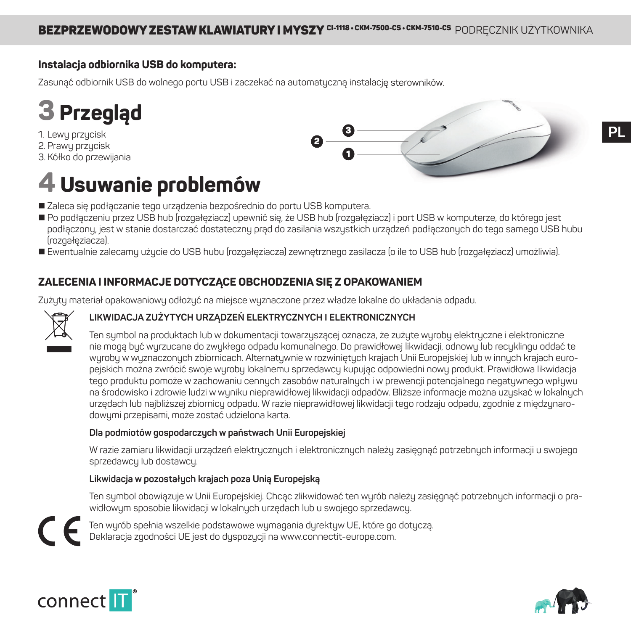## **Instalacja odbiornika USB do komputera:**

Zasunąć odbiornik USB do wolnego portu USB i zaczekać na automatyczną instalację sterowników.



1. Lewy przycisk 2. Prawy przycisk 3. Kółko do przewijania

## **4 Usuwanie problemów**



- Zaleca się podłączanie tego urządzenia bezpośrednio do portu USB komputera.
- Po podłączeniu przez USB hub (rozgałęziacz) upewnić się, że USB hub (rozgałęziacz) i port USB w komputerze, do którego jest podłączony, jest w stanie dostarczać dostateczny prąd do zasilania wszystkich urządzeń podłączonych do tego samego USB hubu .<br>(roznałeziacza)
- Ewentualnie zalecamy użycie do USB hubu (rozgałęziacza) zewnętrznego zasilacza (o ile to USB hub (rozgałęziacz) umożliwia).

### **ZALECENIA I INFORMACJE DOTYCZĄCE OBCHODZENIA SIĘ Z OPAKOWANIEM**

Zużytu materiał opakowaniowy odłożyć na miejsce wyznaczone przez władze lokalne do układania odpadu.



### **LIKWIDACJA ZUŻYTYCH URZĄDZEŃ ELEKTRYCZNYCH I ELEKTRONICZNYCH**

Ten symbol na produktach lub w dokumentacji towarzyszącej oznacza, że zużyte wyroby elektryczne i elektroniczne nie mogą być wyrzucane do zwykłego odpadu komunalnego. Do prawidłowej likwidacji, odnowy lub recyklingu oddać te wurobu w wyznaczonych zbiornicach. Alternatywnie w rozwiniętych krajach Unii Europejskiej lub w innych krajach europejskich można zwrócić swoje wyroby lokalnemu sprzedawcy kupując odpowiedni nowy produkt. Prawidłowa likwidacja tego produktu pomoże w zachowaniu cennuch zasobów naturalnych i w prewencji potencjalnego negatywnego wpływu na środowisko i zdrowie ludzi w wuniku nieprawidłowej likwidacji odpadów. Bliższe informacje można uzuskać w lokalnuch urzędach lub najbliższej zbiornicy odpadu. W razie nieprawidłowej likwidacji tego rodzaju odpadu, zgodnie z międzynarodowymi przepisami, może zostać udzielona karta.

### **Dla podmiotów gospodarczych w państwach Unii Europejskiej**

W razie zamiaru likwidacji urządzeń elektrycznych i elektronicznych należy zasięgnąć potrzebnych informacji u swojego sprzedawcy lub dostawcy.

### **Likwidacja w pozostałych krajach poza Unią Europejską**

Ten symbol obowiązuje w Unii Europejskiej. Chcąc zlikwidować ten wyrób należy zasięgnąć potrzebnych informacji o prawidłowym sposobie likwidacji w lokalnych urzędach lub u swojego sprzedawcy.

Ten wyrób spełnia wszelkie podstawowe wymagania dyrektyw UE, które go dotyczą. Deklaracja zgodności UE jest do dyspozycji na www.connectit-europe.com.



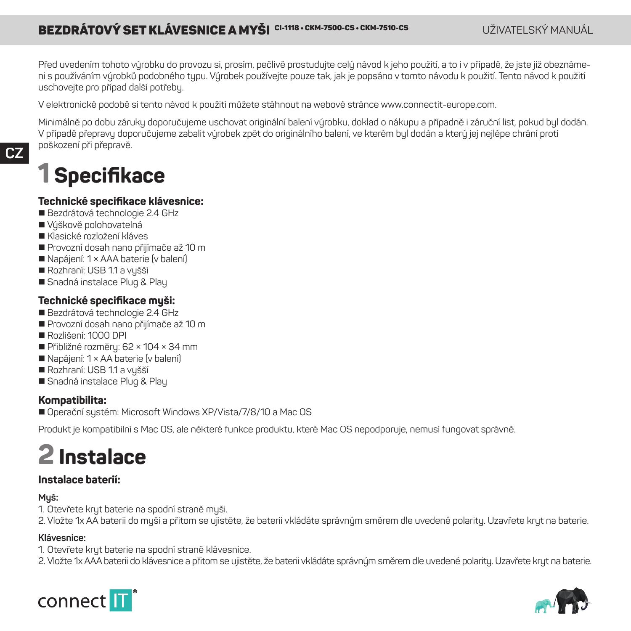## **BEZDRÁTOVÝ SET KLÁVESNICE A MYŠI <sup>CI-1118</sup> • CKM-7500-CS • CKM-7510-CS • CKM-7510-CS • CHANUÁL CHÁNU JÁL PODRÁTOVÝ SET KLÁVEGY VANUTÁL EXPERIMENTELSKÝ MANUÁL**

Před uvedením tohoto výrobku do provozu si, prosím, pečlivě prostudujte celý návod k jeho použití, a to i v případě, že jste již obeznámeni s používáním výrobků podobného typu. Výrobek používejte pouze tak, jak je popsáno v tomto návodu k použití. Tento návod k použití uschovejte pro případ další potřeby.

V elektronické podobě si tento návod k použití můžete stáhnout na webové stránce www.connectit-europe.com.

Minimálně po dobu záruky doporučujeme uschovat originální balení výrobku, doklad o nákupu a případně i záruční list, pokud byl dodán. V případě přepravy doporučujeme zabalit výrobek zpět do originálního balení, ve kterém byl dodán a který jej nejlépe chrání proti poškození při přepravě.

## **1 Specifi kace**

### **Technické specifi kace klávesnice:**

- Bezdrátová technologie 2.4 GHz
- Výškově polohovatelná
- Klasické rozložení kláves
- Provozní dosah nano přijímače až 10 m
- Napájení: 1 × AAA baterie (v balení)
- Rozhraní: USB 11 a vušší
- Snadná instalace Plug & Play

### **Technické specifi kace myši:**

- Bezdrátová technologie 2.4 GHz
- **Provozní dosah nano přijímače až 10 m**
- Rozlišení: 1000 DPI
- Přibližné rozměry: 62 × 104 × 34 mm
- Napájení: 1 × AA baterie (v balení)
- Rozhraní: USB 11 a vušší
- Snadná instalace Plug & Play

#### **Kompatibilita:**

■ Dnerační sustém: Microsoft Windows XP/Vista/7/8/10 a Mac OS

Produkt je kompatibilní s Mac OS, ale některé funkce produktu, které Mac OS nepodporuje, nemusí fungovat správně.

## **2 Instalace**

#### **Instalace baterií:**

### **Myš:**

- 1. Otevřete kryt baterie na spodní straně myši.
- 2. Vložte 1x AA baterii do myši a přitom se ujistěte, že baterii vkládáte správným směrem dle uvedené polarity. Uzavřete kryt na baterie.

#### **Klávesnice:**

- 1. Otevřete kryt baterie na spodní straně klávesnice.
- 2. Vložte 1x AAA baterii do klávesnice a přitom se ujistěte, že baterii vkládáte správným směrem dle uvedené polarity. Uzavřete kryt na baterie.



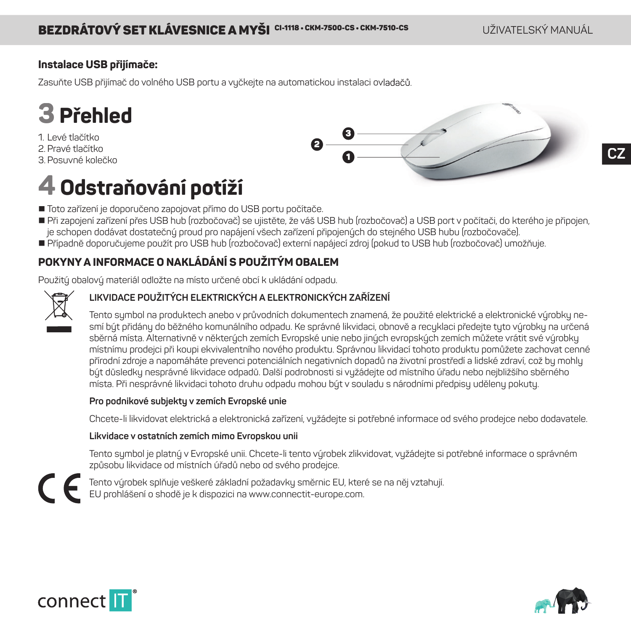**CZ**

## **Instalace USB přijímače:**

Zasuňte USB přijímač do volného USB portu a vyčkejte na automatickou instalaci ovladačů.



- 1. Levé tlačítko
- 2. Pravé tlačítko
- 3. Posuvné kolečko

## 1 2 3

# **4 Odstraňování potíží**

- Toto zařízení je doporučeno zapojovat přímo do USB portu počítače.
- Při zapojení zařízení přes USB hub (rozbočovač) se ujistěte, že váš USB hub (rozbočovač) a USB port v počítači, do kterého je připojen, je schopen dodávat dostatečný proud pro napájení všech zařízení připojených do stejného USB hubu (rozbočovače).
- Případně doporučujeme použít pro USB hub (rozbočovač) externí napájecí zdroj (pokud to USB hub (rozbočovač) umožňuje.

## **POKYNY A INFORMACE O NAKLÁDÁNÍ S POUŽITÝM OBALEM**

Použitý obalový materiál odložte na místo určené obcí k ukládání odpadu.



### **LIKVIDACE POUŽITÝCH ELEKTRICKÝCH A ELEKTRONICKÝCH ZAŘÍZENÍ**

Tento symbol na produktech anebo v průvodních dokumentech znamená, že použité elektrické a elektronické výrobky nesmí být přidány do běžného komunálního odpadu. Ke správné likvidaci, obnově a recuklaci předejte tyto výrobky na určená sběrná místa. Alternativně v některých zemích Evropské unie nebo jiných evropských zemích můžete vrátit své výrobky místnímu prodejci při koupi ekvivalentního nového produktu. Správnou likvidací tohoto produktu pomůžete zachovat cenné přírodní zdroje a napomáháte prevenci potenciálních negativních dopadů na životní prostředí a lidské zdraví, což by mohly být důsledky nesprávné likvidace odpadů. Další podrobnosti si vyžádejte od místního úřadu nebo nejbližšího sběrného místa. Při nesprávné likvidaci tohoto druhu odpadu mohou bút v souladu s národními předpisu udělenu pokutu.

#### **Pro podnikové subjekty v zemích Evropské unie**

Chcete-li likvidovat elektrická a elektronická zařízení, vyžádejte si potřebné informace od svého prodejce nebo dodavatele.

#### **Likvidace v ostatních zemích mimo Evropskou unii**

Tento symbol je platný v Evropské unii. Chcete-li tento výrobek zlikvidovat, vyžádejte si potřebné informace o správném způsobu likvidace od místních úřadů nebo od svého prodejce.



Tento výrobek splňuje veškeré základní požadavky směrnic EU, které se na něj vztahují. EU prohlášení o shodě je k dispozici na www.connectit-europe.com.



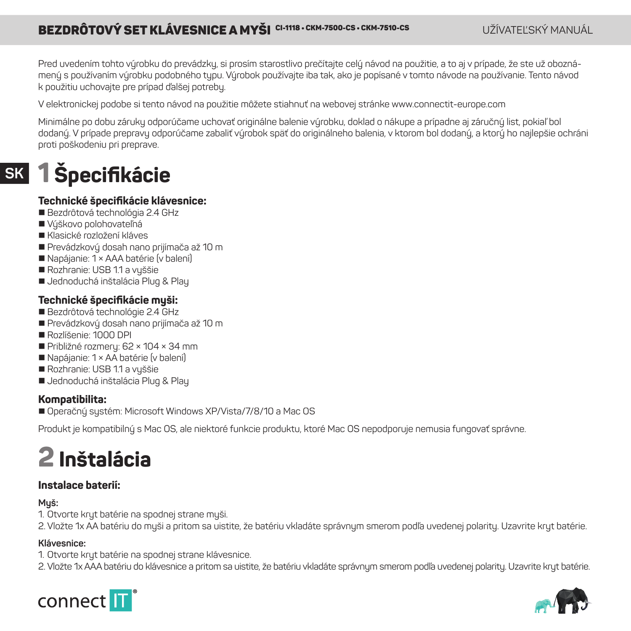## **BEZDRÔTOVÝ SET KLÁVESNICE A MYŠI <sup>CI-1118</sup> • CKM-7500-CS • CKM-7510-CS** • CHATEL CHATEL'SKÝ MANUÁL

Pred uvedením tohto výrobku do prevádzky, si prosím starostlivo prečítajte celý návod na použitie, a to aj v prípade, že ste už oboznámený s používaním výrobku podobného typu. Výrobok používajte iba tak, ako je popísané v tomto návode na používanie. Tento návod k použitiu uchovajte pre prípad ďalšej potreby.

V elektronickej podobe si tento návod na použitie môžete stiahnuť na webovej stránke www.connectit-europe.com

Minimálne po dobu záruku odporúčame uchovať originálne balenie výrobku, doklad o nákupe a prípadne aj záručný list, pokiaľ bol dodaný. V prípade prepravy odporúčame zabaliť výrobok späť do originálneho balenia, v ktorom bol dodaný, a ktorý ho najlepšie ochráni proti poškodeniu pri preprave.

## **SK 1 Špecifi kácie**

### **Technické špecifi kácie klávesnice:**

- Bezdrôtová technológia 2.4 GHz
- Vúškovo polohovateľná
- Klasické rozložení kláves
- Prevádzkový dosah nano prijímača až 10 m
- Napájanie: 1 × AAA batérie (v balení)
- Rozhranie: USB 11 a vuššie
- Jednoduchá inštalácia Plug & Play

### **Technické špecifi kácie myši:**

- Bezdrôtová technológie 2.4 GHz
- Prevádzkovú dosah nano prijímača až 10 m
- Rozlíšenie: 1000 DPI
- Približné rozmery: 62 × 104 × 34 mm
- Napájanie: 1 × AA batérie (v balení)
- Rozhranie: USB 11 a vuššie
- Jednoduchá inštalácia Plug & Play

### **Kompatibilita:**

■ Operačný systém: Microsoft Windows XP/Vista/7/8/10 a Mac OS

Produkt je kompatibilný s Mac OS, ale niektoré funkcie produktu, ktoré Mac OS nepodporuje nemusia fungovať správne.

# **2 Inštalácia**

### **Instalace baterií:**

### **Myš:**

1. Otvorte kryt batérie na spodnej strane myši.

2. Vložte 1x AA batériu do myši a pritom sa uistite, že batériu vkladáte správnym smerom podľa uvedenej polarity. Uzavrite kryt batérie.

### **Klávesnice:**

1. Otvorte kryt batérie na spodnej strane klávesnice.

2. Vložte 1x AAA batériu do klávesnice a pritom sa uistite, že batériu vkladáte správnym smerom podľa uvedenej polarity. Uzavrite kryt batérie.



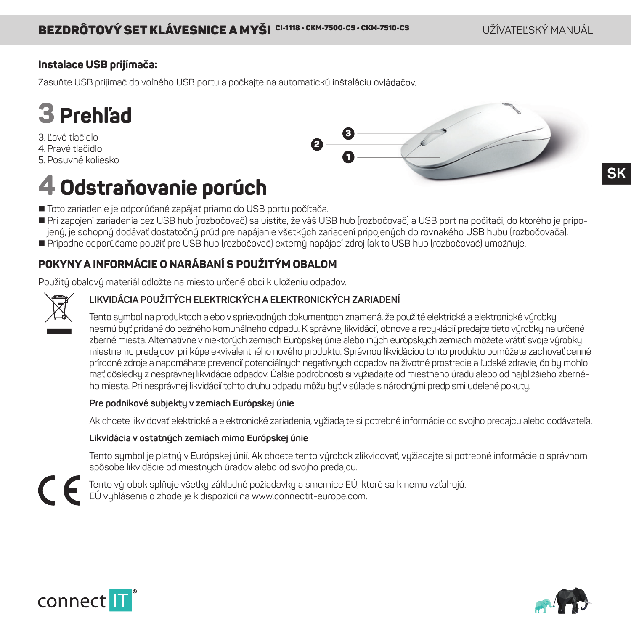## **Instalace USB prijímača:**

Zasuňte USB prijímač do voľného USB portu a počkajte na automatickú inštaláciu ovládačov.



3. Ľavé tlačidlo 4. Pravé tlačidlo

5. Posuvné koliesko



## **4 Odstraňovanie porúch**

- Toto zariadenie je odporúčané zapájať priamo do USB portu počítača
- Pri zapojení zariadenia cez USB hub (rozbočovač) sa uistite, že váš USB hub (rozbočovač) a USB port na počítači, do ktorého je pripojený, je schopný dodávať dostatočný prúd pre napájanie všetkých zariadení pripojených do rovnakého USB hubu (rozbočovača).
- Prípadne odporúčame použiť pre USB hub (rozbočovač) externý napájací zdroj (ak to USB hub (rozbočovač) umožňuje.

## **POKYNY A INFORMÁCIE O NARÁBANÍ S POUŽITÝM OBALOM**

Použitý obalový materiál odložte na miesto určené obci k uloženiu odpadov.



### **LIKVIDÁCIA POUŽITÝCH ELEKTRICKÝCH A ELEKTRONICKÝCH ZARIADENÍ**

Tento symbol na produktoch alebo v sprievodných dokumentoch znamená, že použité elektrické a elektronické výrobky nesmú byť pridané do bežného komunálneho odpadu. K správnej likvidácií, obnove a recyklácií predajte tieto výrobky na určené zberné miesta. Alternatívne v niektorých zemiach Európskej únie alebo iných európskych zemiach môžete vrátiť svoje výrobky miestnemu predajcovi pri kúpe ekvivalentného nového produktu. Správnou likvidáciou tohto produktu pomôžete zachovať cenné prírodné zdroje a napomáhate prevencií potenciálnych negatívnych dopadov na životné prostredie a ľudské zdravie, čo by mohlo mať dôsledky z nesprávnej likvidácie odpadov. Ďalšie podrobnosti si vyžiadajte od miestneho úradu alebo od najbližšieho zberného miesta. Pri nesprávnej likvidácií tohto druhu odpadu môžu byť v súlade s národnými predpismi udelené pokuty.

### **Pre podnikové subjekty v zemiach Európskej únie**

Ak chcete likvidovať elektrické a elektronické zariadenia, vyžiadajte si potrebné informácie od svojho predajcu alebo dodávateľa.

#### **Likvidácia v ostatných zemiach mimo Európskej únie**

Tento symbol je platný v Európskej únií. Ak chcete tento výrobok zlikvidovať, vyžiadajte si potrebné informácie o správnom spôsobe likvidácie od miestnych úradov alebo od svojho predajcu.

Tento výrobok splňuje všetky základné požiadavky a smernice EÚ, ktoré sa k nemu vzťahujú. EÚ vyhlásenia o zhode je k dispozícií na www.connectit-europe.com.